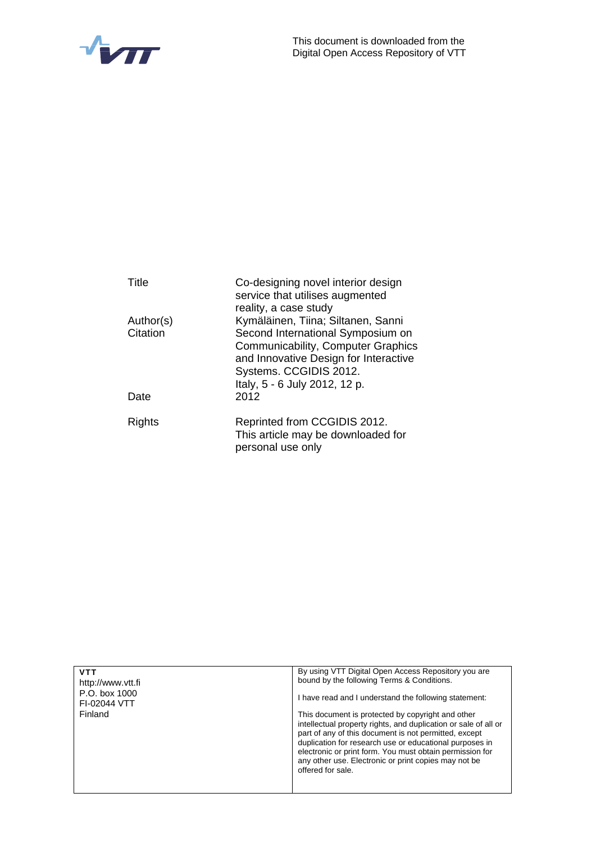



| Title     | Co-designing novel interior design<br>service that utilises augmented |
|-----------|-----------------------------------------------------------------------|
|           | reality, a case study                                                 |
| Author(s) | Kymäläinen, Tiina; Siltanen, Sanni                                    |
| Citation  | Second International Symposium on                                     |
|           | Communicability, Computer Graphics                                    |
|           | and Innovative Design for Interactive<br>Systems. CCGIDIS 2012.       |
|           | Italy, 5 - 6 July 2012, 12 p.                                         |
| Date      | 2012                                                                  |
| Rights    | Reprinted from CCGIDIS 2012.                                          |
|           | This article may be downloaded for                                    |
|           | personal use only                                                     |

| <b>VTT</b><br>http://www.ytt.fi | By using VTT Digital Open Access Repository you are<br>bound by the following Terms & Conditions.                                                                                                                                                                                                                                                                                 |
|---------------------------------|-----------------------------------------------------------------------------------------------------------------------------------------------------------------------------------------------------------------------------------------------------------------------------------------------------------------------------------------------------------------------------------|
| P.O. box 1000<br>FI-02044 VTT   | I have read and I understand the following statement:                                                                                                                                                                                                                                                                                                                             |
| Finland                         | This document is protected by copyright and other<br>intellectual property rights, and duplication or sale of all or<br>part of any of this document is not permitted, except<br>duplication for research use or educational purposes in<br>electronic or print form. You must obtain permission for<br>any other use. Electronic or print copies may not be<br>offered for sale. |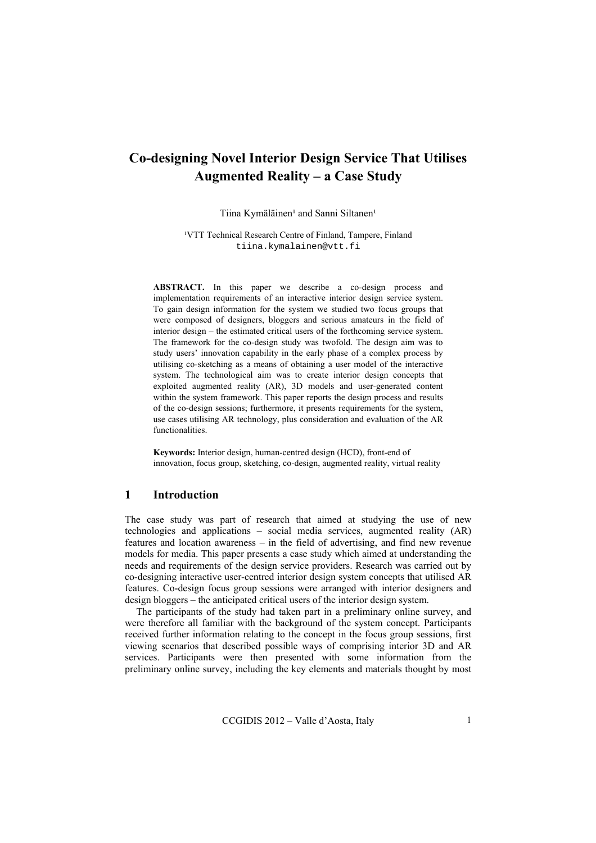# **Co-designing Novel Interior Design Service That Utilises Augmented Reality – a Case Study**

Tiina Kymäläinen<sup>1</sup> and Sanni Siltanen<sup>1</sup>

<sup>1</sup>VTT Technical Research Centre of Finland, Tampere, Finland tiina.kymalainen@vtt.fi

**ABSTRACT.** In this paper we describe a co-design process and implementation requirements of an interactive interior design service system. To gain design information for the system we studied two focus groups that were composed of designers, bloggers and serious amateurs in the field of interior design – the estimated critical users of the forthcoming service system. The framework for the co-design study was twofold. The design aim was to study users' innovation capability in the early phase of a complex process by utilising co-sketching as a means of obtaining a user model of the interactive system. The technological aim was to create interior design concepts that exploited augmented reality (AR), 3D models and user-generated content within the system framework. This paper reports the design process and results of the co-design sessions; furthermore, it presents requirements for the system, use cases utilising AR technology, plus consideration and evaluation of the AR functionalities.

**Keywords:** Interior design, human-centred design (HCD), front-end of innovation, focus group, sketching, co-design, augmented reality, virtual reality

## **1 Introduction**

The case study was part of research that aimed at studying the use of new technologies and applications – social media services, augmented reality (AR) features and location awareness – in the field of advertising, and find new revenue models for media. This paper presents a case study which aimed at understanding the needs and requirements of the design service providers. Research was carried out by co-designing interactive user-centred interior design system concepts that utilised AR features. Co-design focus group sessions were arranged with interior designers and design bloggers – the anticipated critical users of the interior design system.

The participants of the study had taken part in a preliminary online survey, and were therefore all familiar with the background of the system concept. Participants received further information relating to the concept in the focus group sessions, first viewing scenarios that described possible ways of comprising interior 3D and AR services. Participants were then presented with some information from the preliminary online survey, including the key elements and materials thought by most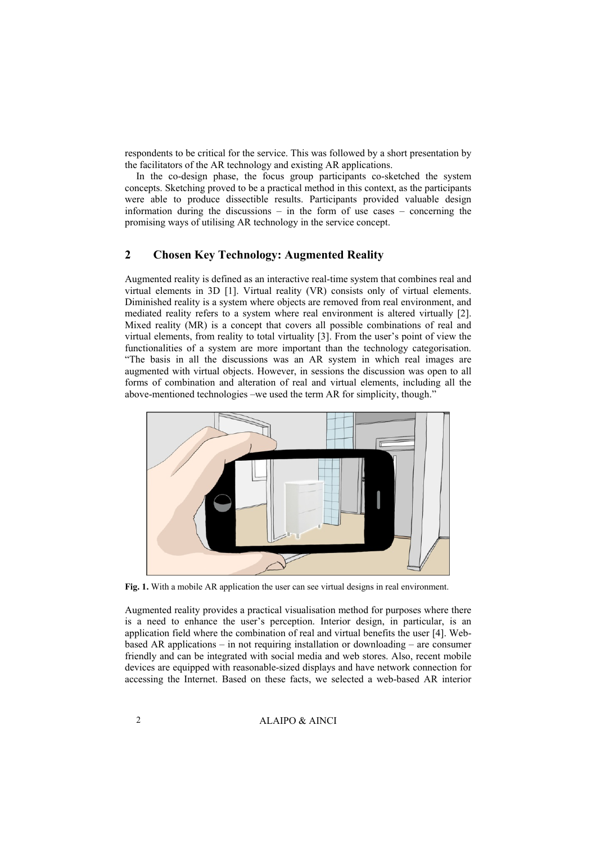respondents to be critical for the service. This was followed by a short presentation by the facilitators of the AR technology and existing AR applications.

In the co-design phase, the focus group participants co-sketched the system concepts. Sketching proved to be a practical method in this context, as the participants were able to produce dissectible results. Participants provided valuable design information during the discussions – in the form of use cases – concerning the promising ways of utilising AR technology in the service concept.

## **2 Chosen Key Technology: Augmented Reality**

Augmented reality is defined as an interactive real-time system that combines real and virtual elements in 3D [1]. Virtual reality (VR) consists only of virtual elements. Diminished reality is a system where objects are removed from real environment, and mediated reality refers to a system where real environment is altered virtually [2]. Mixed reality (MR) is a concept that covers all possible combinations of real and virtual elements, from reality to total virtuality [3]. From the user's point of view the functionalities of a system are more important than the technology categorisation. "The basis in all the discussions was an AR system in which real images are augmented with virtual objects. However, in sessions the discussion was open to all forms of combination and alteration of real and virtual elements, including all the above-mentioned technologies –we used the term AR for simplicity, though."



**Fig. 1.** With a mobile AR application the user can see virtual designs in real environment.

Augmented reality provides a practical visualisation method for purposes where there is a need to enhance the user's perception. Interior design, in particular, is an application field where the combination of real and virtual benefits the user [4]. Webbased AR applications – in not requiring installation or downloading – are consumer friendly and can be integrated with social media and web stores. Also, recent mobile devices are equipped with reasonable-sized displays and have network connection for accessing the Internet. Based on these facts, we selected a web-based AR interior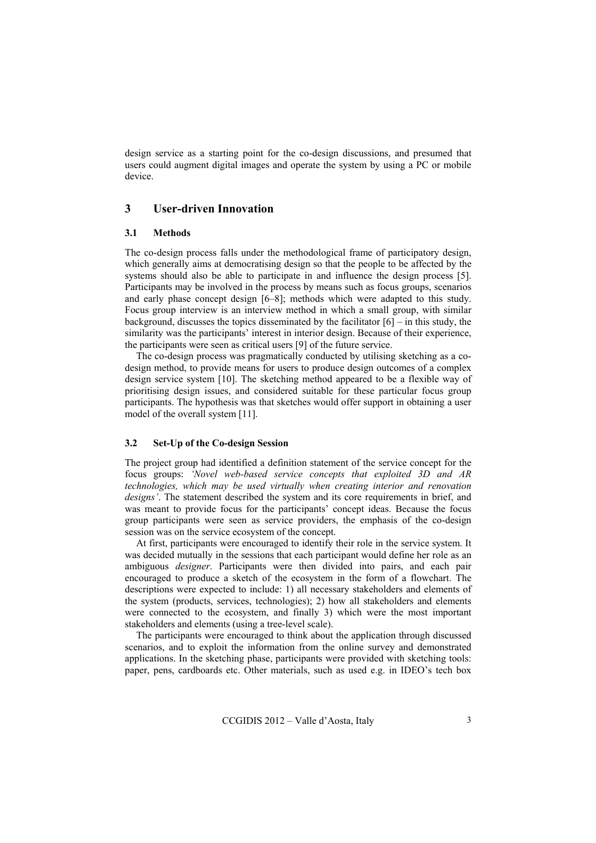design service as a starting point for the co-design discussions, and presumed that users could augment digital images and operate the system by using a PC or mobile device.

# **3 User-driven Innovation**

#### **3.1 Methods**

The co-design process falls under the methodological frame of participatory design, which generally aims at democratising design so that the people to be affected by the systems should also be able to participate in and influence the design process [5]. Participants may be involved in the process by means such as focus groups, scenarios and early phase concept design [6–8]; methods which were adapted to this study. Focus group interview is an interview method in which a small group, with similar background, discusses the topics disseminated by the facilitator  $[6]$  – in this study, the similarity was the participants' interest in interior design. Because of their experience, the participants were seen as critical users [9] of the future service.

The co-design process was pragmatically conducted by utilising sketching as a codesign method, to provide means for users to produce design outcomes of a complex design service system [10]. The sketching method appeared to be a flexible way of prioritising design issues, and considered suitable for these particular focus group participants. The hypothesis was that sketches would offer support in obtaining a user model of the overall system [11].

#### **3.2 Set-Up of the Co-design Session**

The project group had identified a definition statement of the service concept for the focus groups: *'Novel web-based service concepts that exploited 3D and AR technologies, which may be used virtually when creating interior and renovation designs'*. The statement described the system and its core requirements in brief, and was meant to provide focus for the participants' concept ideas. Because the focus group participants were seen as service providers, the emphasis of the co-design session was on the service ecosystem of the concept.

At first, participants were encouraged to identify their role in the service system. It was decided mutually in the sessions that each participant would define her role as an ambiguous *designer*. Participants were then divided into pairs, and each pair encouraged to produce a sketch of the ecosystem in the form of a flowchart. The descriptions were expected to include: 1) all necessary stakeholders and elements of the system (products, services, technologies); 2) how all stakeholders and elements were connected to the ecosystem, and finally 3) which were the most important stakeholders and elements (using a tree-level scale).

The participants were encouraged to think about the application through discussed scenarios, and to exploit the information from the online survey and demonstrated applications. In the sketching phase, participants were provided with sketching tools: paper, pens, cardboards etc. Other materials, such as used e.g. in IDEO's tech box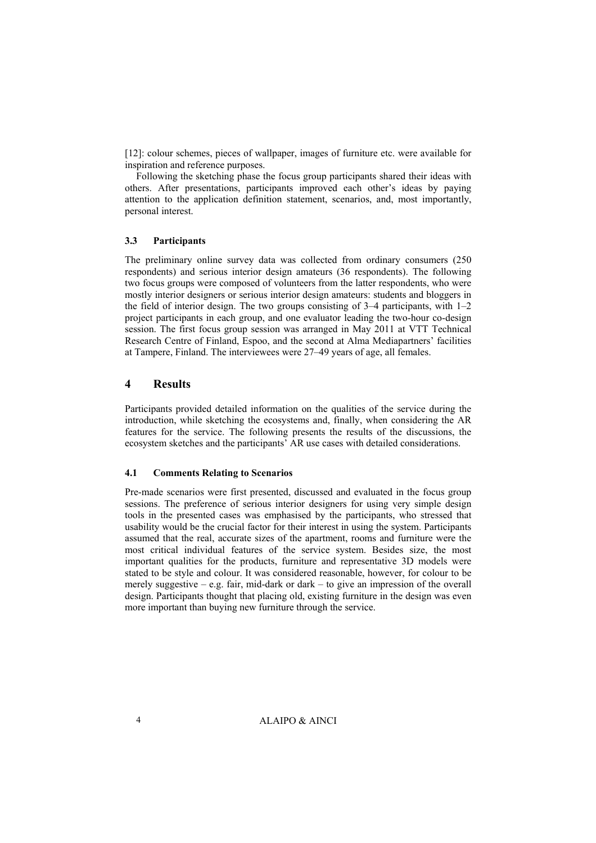[12]: colour schemes, pieces of wallpaper, images of furniture etc. were available for inspiration and reference purposes.

Following the sketching phase the focus group participants shared their ideas with others. After presentations, participants improved each other's ideas by paying attention to the application definition statement, scenarios, and, most importantly, personal interest.

#### **3.3 Participants**

The preliminary online survey data was collected from ordinary consumers (250 respondents) and serious interior design amateurs (36 respondents). The following two focus groups were composed of volunteers from the latter respondents, who were mostly interior designers or serious interior design amateurs: students and bloggers in the field of interior design. The two groups consisting of  $3-4$  participants, with  $1-2$ project participants in each group, and one evaluator leading the two-hour co-design session. The first focus group session was arranged in May 2011 at VTT Technical Research Centre of Finland, Espoo, and the second at Alma Mediapartners' facilities at Tampere, Finland. The interviewees were 27–49 years of age, all females.

## **4 Results**

Participants provided detailed information on the qualities of the service during the introduction, while sketching the ecosystems and, finally, when considering the AR features for the service. The following presents the results of the discussions, the ecosystem sketches and the participants' AR use cases with detailed considerations.

#### **4.1 Comments Relating to Scenarios**

Pre-made scenarios were first presented, discussed and evaluated in the focus group sessions. The preference of serious interior designers for using very simple design tools in the presented cases was emphasised by the participants, who stressed that usability would be the crucial factor for their interest in using the system. Participants assumed that the real, accurate sizes of the apartment, rooms and furniture were the most critical individual features of the service system. Besides size, the most important qualities for the products, furniture and representative 3D models were stated to be style and colour. It was considered reasonable, however, for colour to be merely suggestive – e.g. fair, mid-dark or dark – to give an impression of the overall design. Participants thought that placing old, existing furniture in the design was even more important than buying new furniture through the service.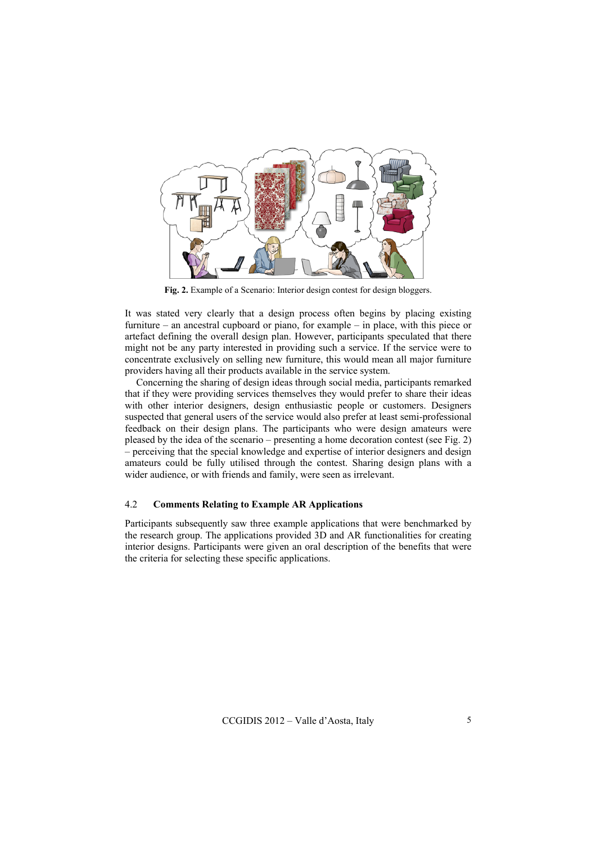

**Fig. 2.** Example of a Scenario: Interior design contest for design bloggers.

It was stated very clearly that a design process often begins by placing existing furniture – an ancestral cupboard or piano, for example – in place, with this piece or artefact defining the overall design plan. However, participants speculated that there might not be any party interested in providing such a service. If the service were to concentrate exclusively on selling new furniture, this would mean all major furniture providers having all their products available in the service system.

Concerning the sharing of design ideas through social media, participants remarked that if they were providing services themselves they would prefer to share their ideas with other interior designers, design enthusiastic people or customers. Designers suspected that general users of the service would also prefer at least semi-professional feedback on their design plans. The participants who were design amateurs were pleased by the idea of the scenario – presenting a home decoration contest (see Fig. 2) – perceiving that the special knowledge and expertise of interior designers and design amateurs could be fully utilised through the contest. Sharing design plans with a wider audience, or with friends and family, were seen as irrelevant.

#### 4.2 **Comments Relating to Example AR Applications**

Participants subsequently saw three example applications that were benchmarked by the research group. The applications provided 3D and AR functionalities for creating interior designs. Participants were given an oral description of the benefits that were the criteria for selecting these specific applications.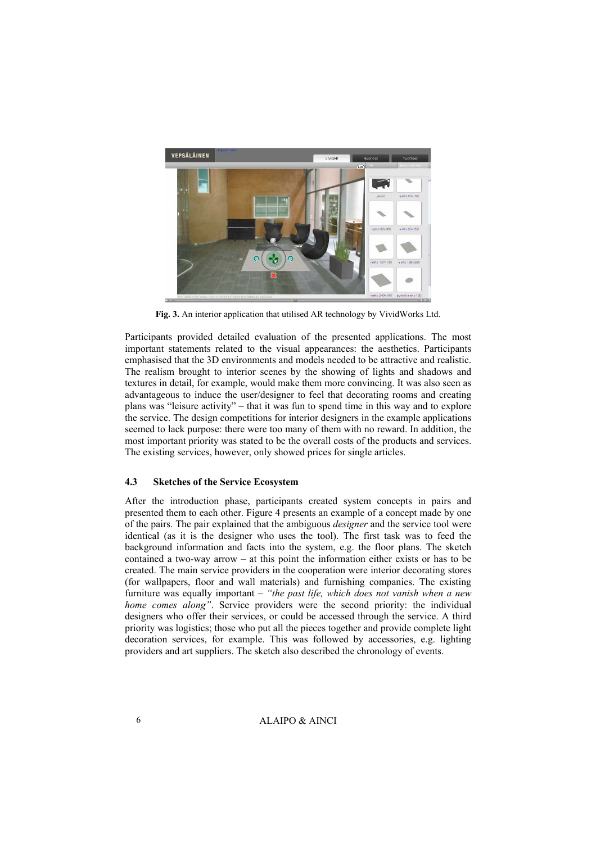

**Fig. 3.** An interior application that utilised AR technology by VividWorks Ltd.

Participants provided detailed evaluation of the presented applications. The most important statements related to the visual appearances: the aesthetics. Participants emphasised that the 3D environments and models needed to be attractive and realistic. The realism brought to interior scenes by the showing of lights and shadows and textures in detail, for example, would make them more convincing. It was also seen as advantageous to induce the user/designer to feel that decorating rooms and creating plans was "leisure activity" – that it was fun to spend time in this way and to explore the service. The design competitions for interior designers in the example applications seemed to lack purpose: there were too many of them with no reward. In addition, the most important priority was stated to be the overall costs of the products and services. The existing services, however, only showed prices for single articles.

## **4.3 Sketches of the Service Ecosystem**

After the introduction phase, participants created system concepts in pairs and presented them to each other. Figure 4 presents an example of a concept made by one of the pairs. The pair explained that the ambiguous *designer* and the service tool were identical (as it is the designer who uses the tool). The first task was to feed the background information and facts into the system, e.g. the floor plans. The sketch contained a two-way arrow – at this point the information either exists or has to be created. The main service providers in the cooperation were interior decorating stores (for wallpapers, floor and wall materials) and furnishing companies. The existing furniture was equally important – *"the past life, which does not vanish when a new home comes along"*. Service providers were the second priority: the individual designers who offer their services, or could be accessed through the service. A third priority was logistics; those who put all the pieces together and provide complete light decoration services, for example. This was followed by accessories, e.g. lighting providers and art suppliers. The sketch also described the chronology of events.

6 ALAIPO & AINCI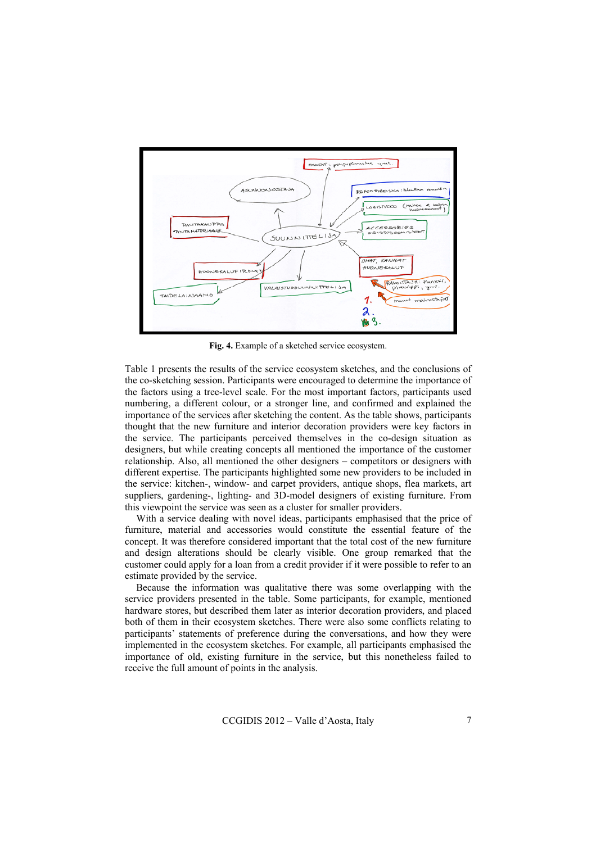

**Fig. 4.** Example of a sketched service ecosystem.

Table 1 presents the results of the service ecosystem sketches, and the conclusions of the co-sketching session. Participants were encouraged to determine the importance of the factors using a tree-level scale. For the most important factors, participants used numbering, a different colour, or a stronger line, and confirmed and explained the importance of the services after sketching the content. As the table shows, participants thought that the new furniture and interior decoration providers were key factors in the service. The participants perceived themselves in the co-design situation as designers, but while creating concepts all mentioned the importance of the customer relationship. Also, all mentioned the other designers – competitors or designers with different expertise. The participants highlighted some new providers to be included in the service: kitchen-, window- and carpet providers, antique shops, flea markets, art suppliers, gardening-, lighting- and 3D-model designers of existing furniture. From this viewpoint the service was seen as a cluster for smaller providers.

With a service dealing with novel ideas, participants emphasised that the price of furniture, material and accessories would constitute the essential feature of the concept. It was therefore considered important that the total cost of the new furniture and design alterations should be clearly visible. One group remarked that the customer could apply for a loan from a credit provider if it were possible to refer to an estimate provided by the service.

Because the information was qualitative there was some overlapping with the service providers presented in the table. Some participants, for example, mentioned hardware stores, but described them later as interior decoration providers, and placed both of them in their ecosystem sketches. There were also some conflicts relating to participants' statements of preference during the conversations, and how they were implemented in the ecosystem sketches. For example, all participants emphasised the importance of old, existing furniture in the service, but this nonetheless failed to receive the full amount of points in the analysis.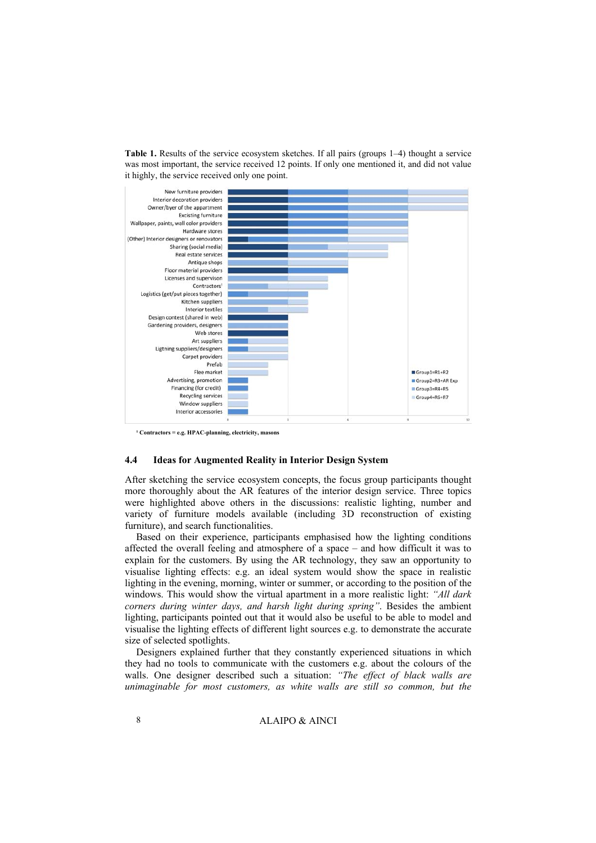**Table 1.** Results of the service ecosystem sketches. If all pairs (groups 1–4) thought a service was most important, the service received 12 points. If only one mentioned it, and did not value it highly, the service received only one point.



**¹ Contractors = e.g. HPAC-planning, electricity, masons** 

#### **4.4 Ideas for Augmented Reality in Interior Design System**

After sketching the service ecosystem concepts, the focus group participants thought more thoroughly about the AR features of the interior design service. Three topics were highlighted above others in the discussions: realistic lighting, number and variety of furniture models available (including 3D reconstruction of existing furniture), and search functionalities.

Based on their experience, participants emphasised how the lighting conditions affected the overall feeling and atmosphere of a space – and how difficult it was to explain for the customers. By using the AR technology, they saw an opportunity to visualise lighting effects: e.g. an ideal system would show the space in realistic lighting in the evening, morning, winter or summer, or according to the position of the windows. This would show the virtual apartment in a more realistic light: *"All dark corners during winter days, and harsh light during spring"*. Besides the ambient lighting, participants pointed out that it would also be useful to be able to model and visualise the lighting effects of different light sources e.g. to demonstrate the accurate size of selected spotlights.

Designers explained further that they constantly experienced situations in which they had no tools to communicate with the customers e.g. about the colours of the walls. One designer described such a situation: *"The effect of black walls are unimaginable for most customers, as white walls are still so common, but the*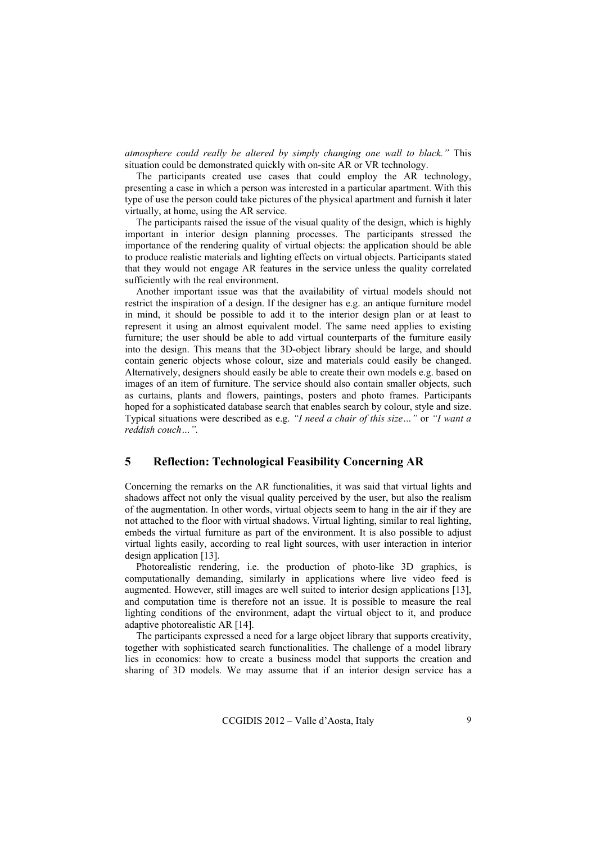*atmosphere could really be altered by simply changing one wall to black."* This situation could be demonstrated quickly with on-site AR or VR technology.

The participants created use cases that could employ the AR technology, presenting a case in which a person was interested in a particular apartment. With this type of use the person could take pictures of the physical apartment and furnish it later virtually, at home, using the AR service.

The participants raised the issue of the visual quality of the design, which is highly important in interior design planning processes. The participants stressed the importance of the rendering quality of virtual objects: the application should be able to produce realistic materials and lighting effects on virtual objects. Participants stated that they would not engage AR features in the service unless the quality correlated sufficiently with the real environment.

Another important issue was that the availability of virtual models should not restrict the inspiration of a design. If the designer has e.g. an antique furniture model in mind, it should be possible to add it to the interior design plan or at least to represent it using an almost equivalent model. The same need applies to existing furniture; the user should be able to add virtual counterparts of the furniture easily into the design. This means that the 3D-object library should be large, and should contain generic objects whose colour, size and materials could easily be changed. Alternatively, designers should easily be able to create their own models e.g. based on images of an item of furniture. The service should also contain smaller objects, such as curtains, plants and flowers, paintings, posters and photo frames. Participants hoped for a sophisticated database search that enables search by colour, style and size. Typical situations were described as e.g. *"I need a chair of this size…"* or *"I want a reddish couch…".* 

# **5 Reflection: Technological Feasibility Concerning AR**

Concerning the remarks on the AR functionalities, it was said that virtual lights and shadows affect not only the visual quality perceived by the user, but also the realism of the augmentation. In other words, virtual objects seem to hang in the air if they are not attached to the floor with virtual shadows. Virtual lighting, similar to real lighting, embeds the virtual furniture as part of the environment. It is also possible to adjust virtual lights easily, according to real light sources, with user interaction in interior design application [13].

Photorealistic rendering, i.e. the production of photo-like 3D graphics, is computationally demanding, similarly in applications where live video feed is augmented. However, still images are well suited to interior design applications [13], and computation time is therefore not an issue. It is possible to measure the real lighting conditions of the environment, adapt the virtual object to it, and produce adaptive photorealistic AR [14].

The participants expressed a need for a large object library that supports creativity, together with sophisticated search functionalities. The challenge of a model library lies in economics: how to create a business model that supports the creation and sharing of 3D models. We may assume that if an interior design service has a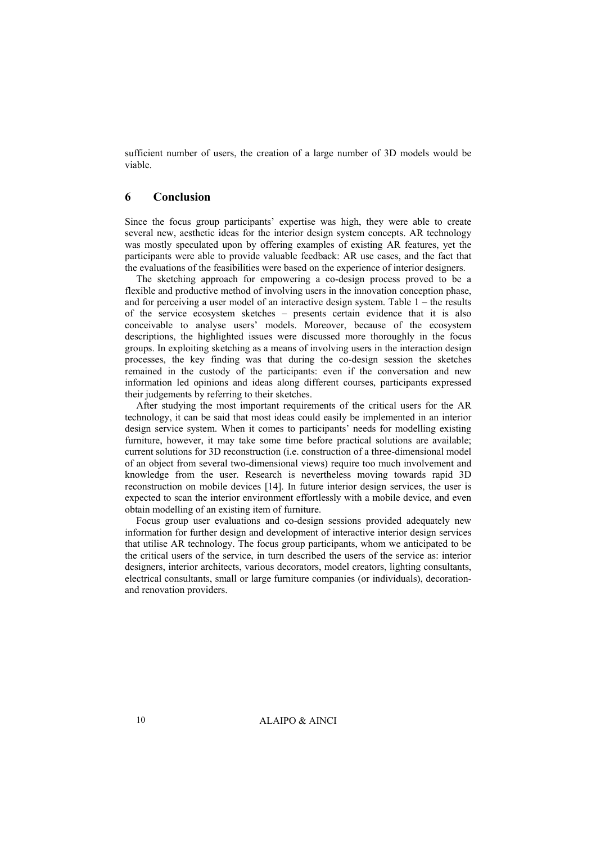sufficient number of users, the creation of a large number of 3D models would be viable.

### **6 Conclusion**

Since the focus group participants' expertise was high, they were able to create several new, aesthetic ideas for the interior design system concepts. AR technology was mostly speculated upon by offering examples of existing AR features, yet the participants were able to provide valuable feedback: AR use cases, and the fact that the evaluations of the feasibilities were based on the experience of interior designers.

The sketching approach for empowering a co-design process proved to be a flexible and productive method of involving users in the innovation conception phase, and for perceiving a user model of an interactive design system. Table 1 – the results of the service ecosystem sketches – presents certain evidence that it is also conceivable to analyse users' models. Moreover, because of the ecosystem descriptions, the highlighted issues were discussed more thoroughly in the focus groups. In exploiting sketching as a means of involving users in the interaction design processes, the key finding was that during the co-design session the sketches remained in the custody of the participants: even if the conversation and new information led opinions and ideas along different courses, participants expressed their judgements by referring to their sketches.

After studying the most important requirements of the critical users for the AR technology, it can be said that most ideas could easily be implemented in an interior design service system. When it comes to participants' needs for modelling existing furniture, however, it may take some time before practical solutions are available; current solutions for 3D reconstruction (i.e. construction of a three-dimensional model of an object from several two-dimensional views) require too much involvement and knowledge from the user. Research is nevertheless moving towards rapid 3D reconstruction on mobile devices [14]. In future interior design services, the user is expected to scan the interior environment effortlessly with a mobile device, and even obtain modelling of an existing item of furniture.

Focus group user evaluations and co-design sessions provided adequately new information for further design and development of interactive interior design services that utilise AR technology. The focus group participants, whom we anticipated to be the critical users of the service, in turn described the users of the service as: interior designers, interior architects, various decorators, model creators, lighting consultants, electrical consultants, small or large furniture companies (or individuals), decorationand renovation providers.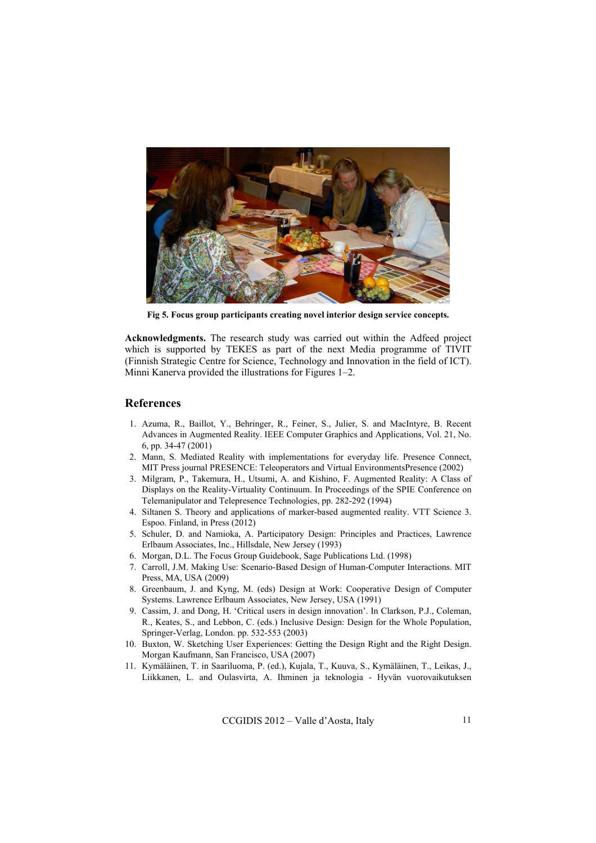

**Fig 5. Focus group participants creating novel interior design service concepts.** 

**Acknowledgments.** The research study was carried out within the Adfeed project which is supported by TEKES as part of the next Media programme of TIVIT (Finnish Strategic Centre for Science, Technology and Innovation in the field of ICT). Minni Kanerva provided the illustrations for Figures 1–2.

#### **References**

- 1. Azuma, R., Baillot, Y., Behringer, R., Feiner, S., Julier, S. and MacIntyre, B. Recent Advances in Augmented Reality. IEEE Computer Graphics and Applications, Vol. 21, No. 6, pp. 34-47 (2001)
- 2. Mann, S. Mediated Reality with implementations for everyday life. Presence Connect, MIT Press journal PRESENCE: Teleoperators and Virtual EnvironmentsPresence (2002)
- 3. Milgram, P., Takemura, H., Utsumi, A. and Kishino, F. Augmented Reality: A Class of Displays on the Reality-Virtuality Continuum. In Proceedings of the SPIE Conference on Telemanipulator and Telepresence Technologies, pp. 282-292 (1994)
- 4. Siltanen S. Theory and applications of marker-based augmented reality. VTT Science 3. Espoo. Finland, in Press (2012)
- 5. Schuler, D. and Namioka, A. Participatory Design: Principles and Practices, Lawrence Erlbaum Associates, Inc., Hillsdale, New Jersey (1993)
- 6. Morgan, D.L. The Focus Group Guidebook, Sage Publications Ltd. (1998)
- 7. Carroll, J.M. Making Use: Scenario-Based Design of Human-Computer Interactions. MIT Press, MA, USA (2009)
- 8. Greenbaum, J. and Kyng, M. (eds) Design at Work: Cooperative Design of Computer Systems. Lawrence Erlbaum Associates, New Jersey, USA (1991)
- 9. Cassim, J. and Dong, H. 'Critical users in design innovation'. In Clarkson, P.J., Coleman, R., Keates, S., and Lebbon, C. (eds.) Inclusive Design: Design for the Whole Population, Springer-Verlag, London. pp. 532-553 (2003)
- 10. Buxton, W. Sketching User Experiences: Getting the Design Right and the Right Design. Morgan Kaufmann, San Francisco, USA (2007)
- 11. Kymäläinen, T. in Saariluoma, P. (ed.), Kujala, T., Kuuva, S., Kymäläinen, T., Leikas, J., Liikkanen, L. and Oulasvirta, A. Ihminen ja teknologia - Hyvän vuorovaikutuksen